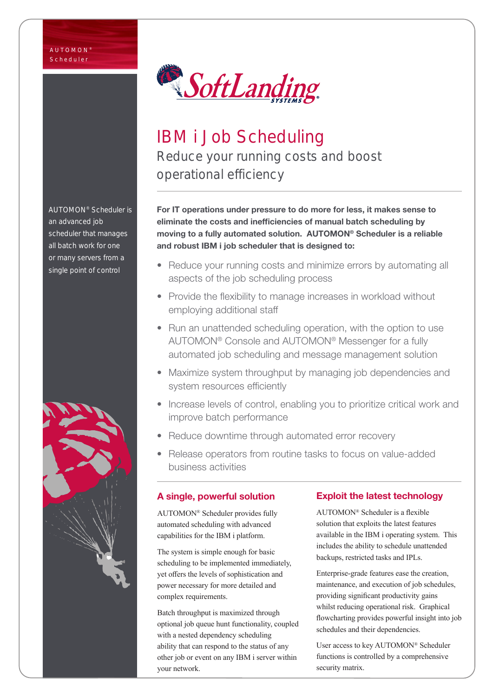

# IBM i Job Scheduling Reduce your running costs and boost operational efficiency

For IT operations under pressure to do more for less, it makes sense to eliminate the costs and inefficiencies of manual batch scheduling by moving to a fully automated solution. AUTOMON® Scheduler is a reliable and robust IBM i job scheduler that is designed to:

- Reduce your running costs and minimize errors by automating all aspects of the job scheduling process
- Provide the flexibility to manage increases in workload without employing additional staff
- Run an unattended scheduling operation, with the option to use AUTOMON® Console and AUTOMON® Messenger for a fully automated job scheduling and message management solution
- Maximize system throughput by managing job dependencies and system resources efficiently
- Increase levels of control, enabling you to prioritize critical work and improve batch performance
- Reduce downtime through automated error recovery
- Release operators from routine tasks to focus on value-added business activities

# A single, powerful solution

AUTOMON® Scheduler provides fully automated scheduling with advanced capabilities for the IBM i platform.

The system is simple enough for basic scheduling to be implemented immediately, yet offers the levels of sophistication and power necessary for more detailed and complex requirements.

Batch throughput is maximized through optional job queue hunt functionality, coupled with a nested dependency scheduling ability that can respond to the status of any other job or event on any IBM i server within your network.

# Exploit the latest technology

AUTOMON® Scheduler is a flexible solution that exploits the latest features available in the IBM i operating system. This includes the ability to schedule unattended backups, restricted tasks and IPLs.

Enterprise-grade features ease the creation, maintenance, and execution of job schedules, providing significant productivity gains whilst reducing operational risk. Graphical flowcharting provides powerful insight into job schedules and their dependencies.

User access to key AUTOMON® Scheduler functions is controlled by a comprehensive security matrix.

AUTOMON® Scheduler is an advanced job scheduler that manages all batch work for one or many servers from a single point of control